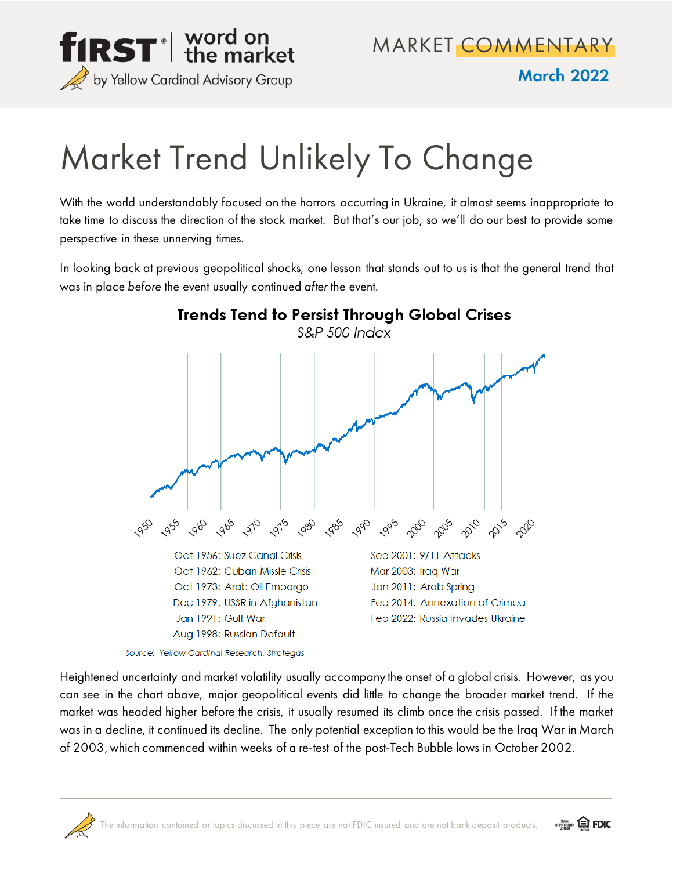

MARKET COMMENTARY

March 2022

## Market Trend Unlikely To Change

With the world understandably focused on the horrors occurring in Ukraine, it almost seems inappropriate to take time to discuss the direction of the stock market. But that's our job, so we'll do our best to provide some perspective in these unnerving times.

In looking back at previous geopolitical shocks, one lesson that stands out to us is that the general trend that was in place *before* the event usually continued *after* the event.



Source: Yellow Cardinal Research, Strategas

Heightened uncertainty and market volatility usually accompany the onset of a global crisis. However, as you can see in the chart above, major geopolitical events did little to change the broader market trend. If the market was headed higher before the crisis, it usually resumed its climb once the crisis passed. If the market was in a decline, it continued its decline. The only potential exception to this would be the Iraq War in March of 2003, which commenced within weeks of a re-test of the post-Tech Bubble lows in October 2002.



*<u>Service</u>* EDIC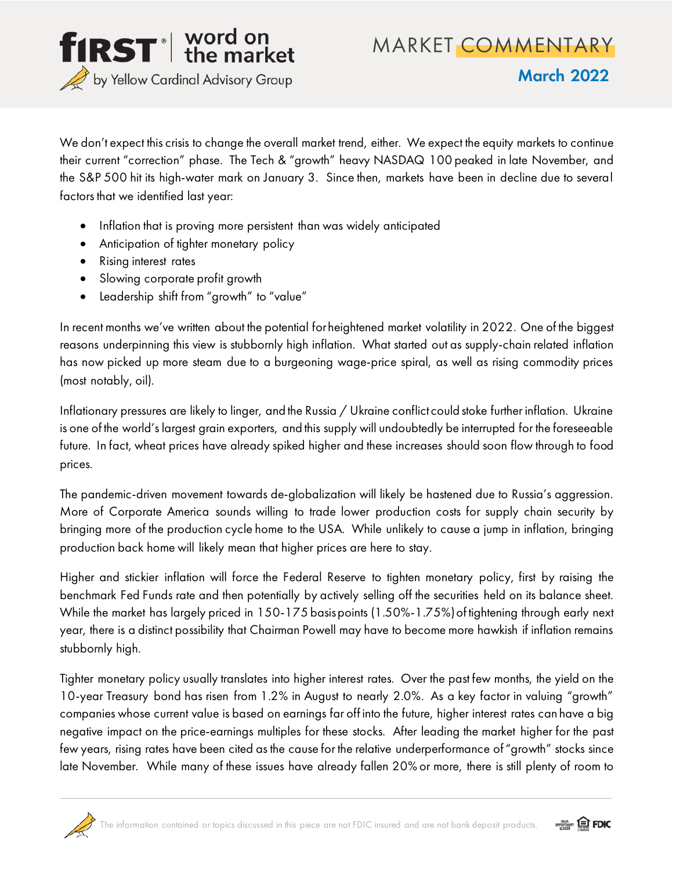

March 2022

We don't expect this crisis to change the overall market trend, either. We expect the equity markets to continue their current "correction" phase. The Tech & "growth" heavy NASDAQ 100 peaked in late November, and the S&P 500 hit its high-water mark on January 3. Since then, markets have been in decline due to several factors that we identified last year:

- Inflation that is proving more persistent than was widely anticipated
- Anticipation of tighter monetary policy
- Rising interest rates
- Slowing corporate profit growth
- Leadership shift from "growth" to "value"

In recent months we've written about the potential for heightened market volatility in 2022. One of the biggest reasons underpinning this view is stubbornly high inflation. What started out as supply-chain related inflation has now picked up more steam due to a burgeoning wage-price spiral, as well as rising commodity prices (most notably, oil).

Inflationary pressures are likely to linger, and the Russia / Ukraine conflict could stoke further inflation. Ukraine is one of the world's largest grain exporters, and this supply will undoubtedly be interrupted for the foreseeable future. In fact, wheat prices have already spiked higher and these increases should soon flow through to food prices.

The pandemic-driven movement towards de-globalization will likely be hastened due to Russia's aggression. More of Corporate America sounds willing to trade lower production costs for supply chain security by bringing more of the production cycle home to the USA. While unlikely to cause a jump in inflation, bringing production back home will likely mean that higher prices are here to stay.

Higher and stickier inflation will force the Federal Reserve to tighten monetary policy, first by raising the benchmark Fed Funds rate and then potentially by actively selling off the securities held on its balance sheet. While the market has largely priced in 150-175 basispoints (1.50%-1.75%) of tightening through early next year, there is a distinct possibility that Chairman Powell may have to become more hawkish if inflation remains stubbornly high.

Tighter monetary policy usually translates into higher interest rates. Over the past few months, the yield on the 10-year Treasury bond has risen from 1.2% in August to nearly 2.0%. As a key factor in valuing "growth" companies whose current value is based on earnings far off into the future, higher interest rates can have a big negative impact on the price-earnings multiples for these stocks. After leading the market higher for the past few years, rising rates have been cited as the cause for the relative underperformance of "growth" stocks since late November. While many of these issues have already fallen 20% or more, there is still plenty of room to



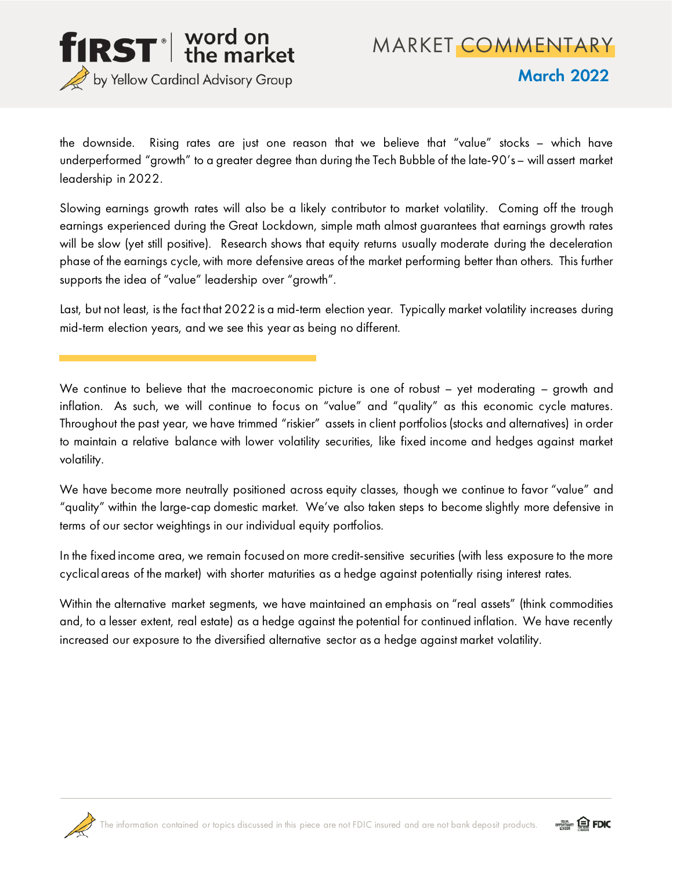

MARKET COMMENTARY

March 2022

the downside. Rising rates are just one reason that we believe that "value" stocks – which have underperformed "growth" to a greater degree than during the Tech Bubble of the late-90's – will assert market leadership in 2022.

Slowing earnings growth rates will also be a likely contributor to market volatility. Coming off the trough earnings experienced during the Great Lockdown, simple math almost guarantees that earnings growth rates will be slow (yet still positive). Research shows that equity returns usually moderate during the deceleration phase of the earnings cycle, with more defensive areas of the market performing better than others. This further supports the idea of "value" leadership over "growth".

Last, but not least, is the fact that 2022 is a mid-term election year. Typically market volatility increases during mid-term election years, and we see this year as being no different.

We continue to believe that the macroeconomic picture is one of robust - yet moderating - growth and inflation. As such, we will continue to focus on "value" and "quality" as this economic cycle matures. Throughout the past year, we have trimmed "riskier" assets in client portfolios (stocks and alternatives) in order to maintain a relative balance with lower volatility securities, like fixed income and hedges against market volatility.

We have become more neutrally positioned across equity classes, though we continue to favor "value" and "quality" within the large-cap domestic market. We've also taken steps to become slightly more defensive in terms of our sector weightings in our individual equity portfolios.

In the fixed income area, we remain focused on more credit-sensitive securities (with less exposure to the more cyclical areas of the market) with shorter maturities as a hedge against potentially rising interest rates.

Within the alternative market segments, we have maintained an emphasis on "real assets" (think commodities and, to a lesser extent, real estate) as a hedge against the potential for continued inflation. We have recently increased our exposure to the diversified alternative sector as a hedge against market volatility.